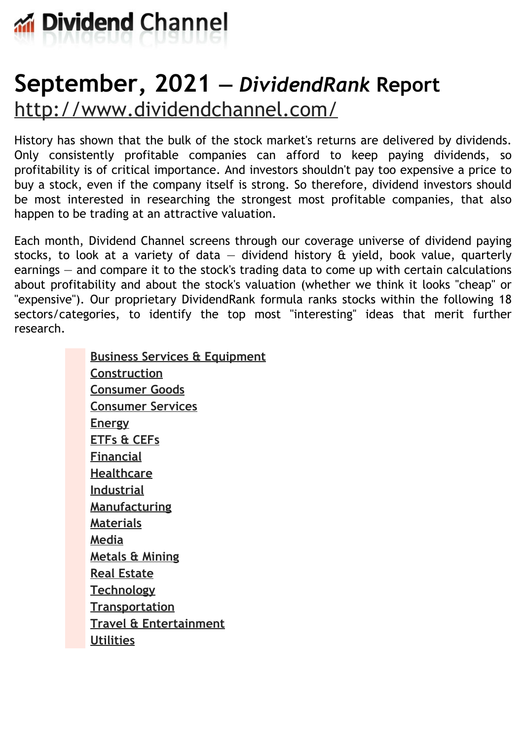

# **September, 2021 —** *DividendRank* **Report** <http://www.dividendchannel.com/>

History has shown that the bulk of the stock market's returns are delivered by dividends. Only consistently profitable companies can afford to keep paying dividends, so profitability is of critical importance. And investors shouldn't pay too expensive a price to buy a stock, even if the company itself is strong. So therefore, dividend investors should be most interested in researching the strongest most profitable companies, that also happen to be trading at an attractive valuation.

Each month, Dividend Channel screens through our coverage universe of dividend paying stocks, to look at a variety of data  $-$  dividend history  $\hat{a}$  yield, book value, quarterly earnings — and compare it to the stock's trading data to come up with certain calculations about profitability and about the stock's valuation (whether we think it looks ''cheap'' or "expensive"). Our proprietary DividendRank formula ranks stocks within the following 18 sectors/categories, to identify the top most ''interesting'' ideas that merit further research.

> **Business Services & [Equipment](file:///root/temp.html#l01) [Construction](file:///root/temp.html#l02) [Consumer](file:///root/temp.html#l03) Goods [Consumer](file:///root/temp.html#l04) Services [Energy](file:///root/temp.html#l05) [ETFs](file:///root/temp.html#l06) & CEFs [Financial](file:///root/temp.html#l07) [Healthcare](file:///root/temp.html#l08) [Industrial](file:///root/temp.html#l09) [Manufacturing](file:///root/temp.html#l10) [Materials](file:///root/temp.html#l11) [Media](file:///root/temp.html#l12) [Metals](file:///root/temp.html#l13) & Mining Real [Estate](file:///root/temp.html#l14) [Technology](file:///root/temp.html#l15) [Transportation](file:///root/temp.html#l16) Travel & [Entertainment](file:///root/temp.html#l17) [Utilities](file:///root/temp.html#l18)**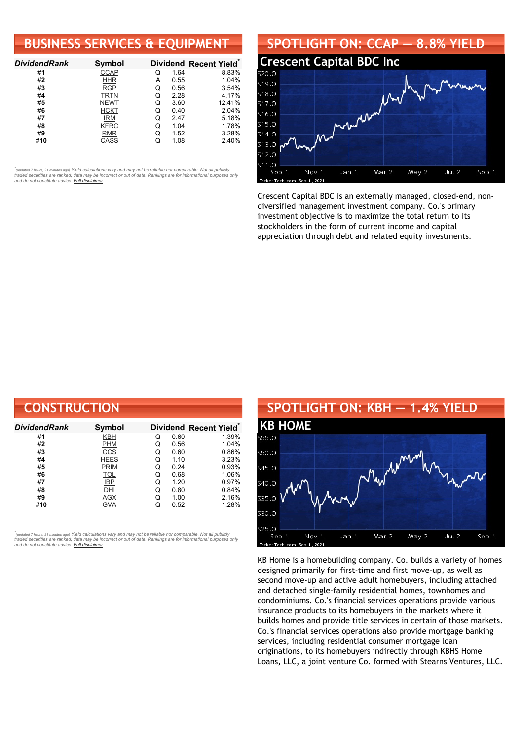# **BUSINESS SERVICES & EQUIPMENT**

| <b>DividendRank</b> | Symbol      |   |      | Dividend Recent Yield* |
|---------------------|-------------|---|------|------------------------|
| #1                  | <b>CCAP</b> | Q | 1.64 | 8.83%                  |
| #2                  | <b>HHR</b>  | A | 0.55 | 1.04%                  |
| #3                  | <b>RGP</b>  | Q | 0.56 | 3.54%                  |
| #4                  | <b>TRTN</b> | Q | 2.28 | 4.17%                  |
| #5                  | <b>NEWT</b> | Q | 3.60 | 12.41%                 |
| #6                  | <b>HCKT</b> | Q | 0.40 | 2.04%                  |
| #7                  | <b>IRM</b>  | Q | 2.47 | 5.18%                  |
| #8                  | <b>KFRC</b> | Q | 1.04 | 1.78%                  |
| #9                  | <b>RMR</b>  | Q | 1.52 | 3.28%                  |
| #10                 | CASS        |   | 1.08 | 2.40%                  |

•<br>"<sub>(updated 7 hours, 21 minutes ago) Yield calculations vary and may not be reliable nor comparable. Not all publicly<br>traded securities are ranked; data may be incorrect or out of date. Rankings are for informational purp</sub> *and do not constitute advice. Full [disclaimer](https://www.dividendchannel.com/disclaimer/)*



Crescent Capital BDC is an externally managed, closed-end, nondiversified management investment company. Co.'s primary investment objective is to maximize the total return to its stockholders in the form of current income and capital appreciation through debt and related equity investments.

| <b>CONSTRUCTION</b> |             |   |      |                                    |
|---------------------|-------------|---|------|------------------------------------|
| DividendRank        | Symbol      |   |      | Dividend Recent Yield <sup>®</sup> |
| #1                  | <b>KBH</b>  | Q | 0.60 | 1.39%                              |
| #2                  | <b>PHM</b>  | Q | 0.56 | 1.04%                              |
| #3                  | CCS         | Q | 0.60 | 0.86%                              |
| #4                  | <b>HEES</b> | Q | 1.10 | 3.23%                              |
| #5                  | <b>PRIM</b> | Q | 0.24 | 0.93%                              |
| #6                  | <b>TOL</b>  | Q | 0.68 | 1.06%                              |
| #7                  | <b>IBP</b>  | Q | 1.20 | 0.97%                              |
| #8                  | DHI         | Q | 0.80 | 0.84%                              |
| #9                  | AGX         | Q | 1.00 | 2.16%                              |
| #10                 | GVA         | Q | 0.52 | 1.28%                              |

*\** ated 7 hours, 21 minutes ago) Yield calculations vary and may not be reliable nor comparable. Not all publicly traded securities are ranked; data may be incorrect or out of date. Rankings are for informational purposes only *and do not constitute advice. Full [disclaimer](https://www.dividendchannel.com/disclaimer/)*



KB Home is a homebuilding company. Co. builds a variety of homes designed primarily for first-time and first move-up, as well as second move-up and active adult homebuyers, including attached and detached single-family residential homes, townhomes and condominiums. Co.'s financial services operations provide various insurance products to its homebuyers in the markets where it builds homes and provide title services in certain of those markets. Co.'s financial services operations also provide mortgage banking services, including residential consumer mortgage loan originations, to its homebuyers indirectly through KBHS Home Loans, LLC, a joint venture Co. formed with Stearns Ventures, LLC.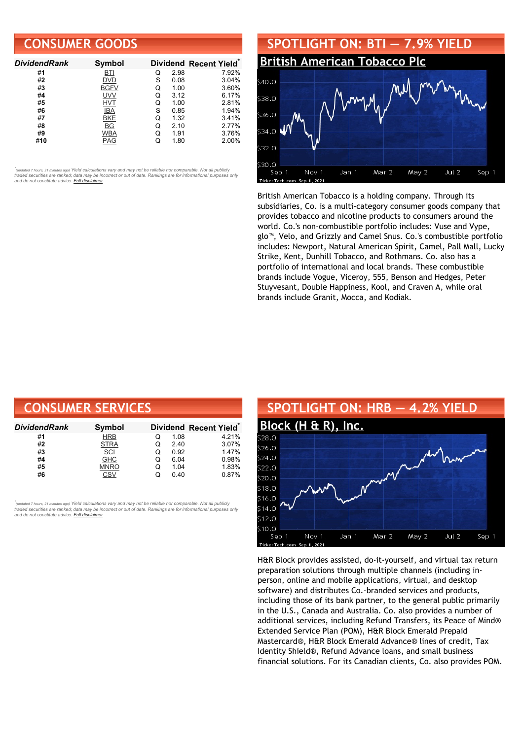### **CONSUMER GOODS**

| <b>DividendRank</b> | <b>Symbol</b> |   |      | Dividend Recent Yield* |
|---------------------|---------------|---|------|------------------------|
| #1                  | BTI           | Q | 2.98 | 7.92%                  |
| #2                  | DVD           | S | 0.08 | 3.04%                  |
| #3                  | <b>BGFV</b>   | Q | 1.00 | 3.60%                  |
| #4                  | <b>UVV</b>    | Q | 3.12 | 6.17%                  |
| #5                  | <b>HVT</b>    | Q | 1.00 | 2.81%                  |
| #6                  | IBA           | S | 0.85 | 1.94%                  |
| #7                  | BKE           | Q | 1.32 | 3.41%                  |
| #8                  | ВG            | Q | 2.10 | 2.77%                  |
| #9                  | <b>WBA</b>    | Q | 1.91 | 3.76%                  |
| #10                 | PAG           |   | 1.80 | 2.00%                  |

•<br>"<sub>(updated 7 hours, 21 minutes ago) Yield calculations vary and may not be reliable nor comparable. Not all publicly<br>traded securities are ranked; data may be incorrect or out of date. Rankings are for informational purp</sub> *and do not constitute advice. Full [disclaimer](https://www.dividendchannel.com/disclaimer/)*



British American Tobacco is a holding company. Through its subsidiaries, Co. is a multi-category consumer goods company that provides tobacco and nicotine products to consumers around the world. Co.'s non-combustible portfolio includes: Vuse and Vype, glo™, Velo, and Grizzly and Camel Snus. Co.'s combustible portfolio includes: Newport, Natural American Spirit, Camel, Pall Mall, Lucky Strike, Kent, Dunhill Tobacco, and Rothmans. Co. also has a portfolio of international and local brands. These combustible brands include Vogue, Viceroy, 555, Benson and Hedges, Peter Stuyvesant, Double Happiness, Kool, and Craven A, while oral brands include Granit, Mocca, and Kodiak.

| <b>CONSUMER SERVICES</b> |             |   |      |                        |  |  |
|--------------------------|-------------|---|------|------------------------|--|--|
| DividendRank             | Symbol      |   |      | Dividend Recent Yield* |  |  |
| #1                       | <b>HRB</b>  | Q | 1.08 | 4.21%                  |  |  |
| #2                       | <b>STRA</b> | Q | 2.40 | 3.07%                  |  |  |
| #3                       | <b>SCI</b>  | Q | 0.92 | 1.47%                  |  |  |
| #4                       | <b>GHC</b>  | Q | 6.04 | 0.98%                  |  |  |
| #5                       | <b>MNRO</b> | Q | 1.04 | 1.83%                  |  |  |
| #6                       | CSV         | Q | 0.40 | 0.87%                  |  |  |

,<br>"<sub>(updated 7 hours, 21 minutes ago) Yield calculations vary and may not be reliable nor comparable. Not all publicly<br>traded securities are ranked; data may be incorrect or out of date. Rankings are for informational purp</sub> *and do not constitute advice. Full [disclaimer](https://www.dividendchannel.com/disclaimer/)*



H&R Block provides assisted, do-it-yourself, and virtual tax return preparation solutions through multiple channels (including inperson, online and mobile applications, virtual, and desktop software) and distributes Co.-branded services and products, including those of its bank partner, to the general public primarily in the U.S., Canada and Australia. Co. also provides a number of additional services, including Refund Transfers, its Peace of Mind® Extended Service Plan (POM), H&R Block Emerald Prepaid Mastercard®, H&R Block Emerald Advance® lines of credit, Tax Identity Shield®, Refund Advance loans, and small business financial solutions. For its Canadian clients, Co. also provides POM.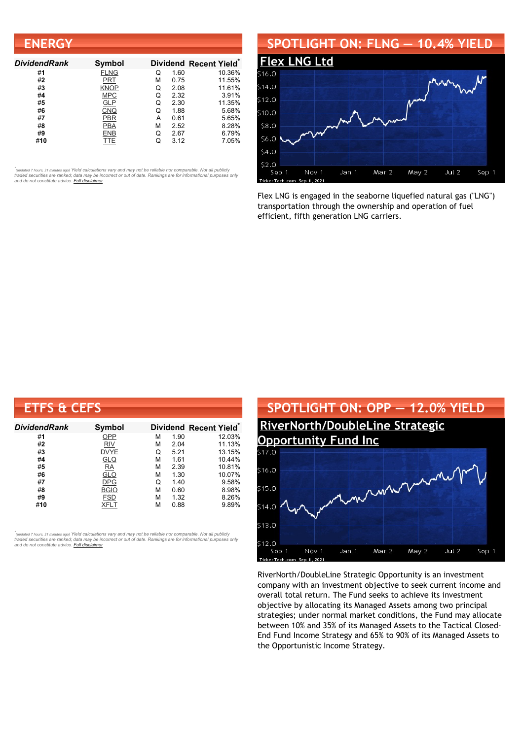| <b>ENERGY</b>       |             |   |      |                                    |
|---------------------|-------------|---|------|------------------------------------|
| <b>DividendRank</b> | Symbol      |   |      | Dividend Recent Yield <sup>®</sup> |
| #1                  | <b>FLNG</b> | Q | 1.60 | 10.36%                             |
| #2                  | PRT         | М | 0.75 | 11.55%                             |
| #3                  | KNOP        | Q | 2.08 | 11.61%                             |
| #4                  | <b>MPC</b>  | Q | 2.32 | 3.91%                              |
| #5                  | <b>GLP</b>  | Q | 2.30 | 11.35%                             |
| #6                  | <b>CNQ</b>  | Q | 1.88 | 5.68%                              |
| #7                  | PBR         | А | 0.61 | 5.65%                              |
| #8                  | <b>PBA</b>  | М | 2.52 | 8.28%                              |
| #9                  | ENB         | Q | 2.67 | 6.79%                              |
| #10                 | TTE         | Q | 3.12 | 7.05%                              |

#### **SPOTLIGHT ON: FLNG — 10.4% YIELD**



Flex LNG is engaged in the seaborne liquefied natural gas ("LNG") transportation through the ownership and operation of fuel efficient, fifth generation LNG carriers.

| <b>ETFS &amp; CEFS</b> |               |   |      |                        |
|------------------------|---------------|---|------|------------------------|
| <b>DividendRank</b>    | <b>Symbol</b> |   |      | Dividend Recent Yield* |
| #1                     | OPP           | м | 1.90 | 12.03%                 |
| #2                     | <b>RIV</b>    | м | 2.04 | 11.13%                 |
| #3                     | <b>DVYE</b>   | Q | 5.21 | 13.15%                 |
| #4                     | <b>GLQ</b>    | М | 1.61 | 10.44%                 |
| #5                     | <b>RA</b>     | М | 2.39 | 10.81%                 |
| #6                     | <u>GLO</u>    | М | 1.30 | 10.07%                 |
| #7                     | <b>DPG</b>    | Q | 1.40 | 9.58%                  |
| #8                     | <b>BGIO</b>   | м | 0.60 | 8.98%                  |
| #9                     | <b>FSD</b>    | м | 1.32 | 8.26%                  |
| #10                    | XFLT          | м | 0.88 | 9.89%                  |

,<br>"<sub>(updated 7 hours, 21 minutes ago) Yield calculations vary and may not be reliable nor comparable. Not all publicly<br>traded securities are ranked; data may be incorrect or out of date. Rankings are for informational purp</sub> *and do not constitute advice. Full [disclaimer](https://www.dividendchannel.com/disclaimer/)*



RiverNorth/DoubleLine Strategic Opportunity is an investment company with an investment objective to seek current income and overall total return. The Fund seeks to achieve its investment objective by allocating its Managed Assets among two principal strategies; under normal market conditions, the Fund may allocate between 10% and 35% of its Managed Assets to the Tactical Closed-End Fund Income Strategy and 65% to 90% of its Managed Assets to the Opportunistic Income Strategy.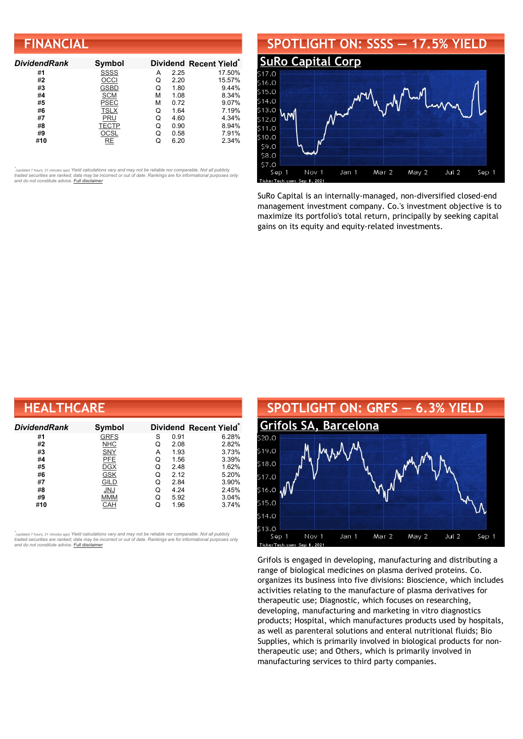# **FINANCIAL**

| <b>DividendRank</b> | Symbol      |   |      | Dividend Recent Yield* |
|---------------------|-------------|---|------|------------------------|
| #1                  | <b>SSSS</b> | А | 2.25 | 17.50%                 |
| #2                  | OCCI        | Q | 2.20 | 15.57%                 |
| #3                  | GSBD        | Q | 1.80 | 9.44%                  |
| #4                  | <b>SCM</b>  | м | 1.08 | 8.34%                  |
| #5                  | <b>PSEC</b> | м | 0.72 | 9.07%                  |
| #6                  | <b>TSLX</b> | Q | 1.64 | 7.19%                  |
| #7                  | PRU         | Q | 4.60 | 4.34%                  |
| #8                  | TECTP       | Q | 0.90 | 8.94%                  |
| #9                  | OCSL        | Q | 0.58 | 7.91%                  |
| #10                 | RE          |   | 6.20 | 2.34%                  |

•<br>"<sub>(updated 7 hours, 21 minutes ago) Yield calculations vary and may not be reliable nor comparable. Not all publicly<br>traded securities are ranked; data may be incorrect or out of date. Rankings are for informational purp</sub> *and do not constitute advice. Full [disclaimer](https://www.dividendchannel.com/disclaimer/)*

#### **SPOTLIGHT ON: SSSS — 17.5% YIELD SuRo [Capital](http://www.dividendchannel.com/symbol/ssss/) Corp** .<br>S16.0  $$15.0$  $$14.0$ \$13.0 Ϋ́ 512.0  $$11.0$ \$10.0 \$9.0 \$8.0 \$7.0 Nov 1 Jan 1 Mar 2 May 2 Jul 2 Sep 1 Sep 1

SuRo Capital is an internally-managed, non-diversified closed-end management investment company. Co.'s investment objective is to maximize its portfolio's total return, principally by seeking capital gains on its equity and equity-related investments.

| <b>HEALTHCARE</b>   |             |   |      |                        |  |  |
|---------------------|-------------|---|------|------------------------|--|--|
| <b>DividendRank</b> | Symbol      |   |      | Dividend Recent Yield* |  |  |
| #1                  | <b>GRFS</b> | S | 0.91 | 6.28%                  |  |  |
| #2                  | <b>NHC</b>  | Q | 2.08 | 2.82%                  |  |  |
| #3                  | SNY         | А | 1.93 | 3.73%                  |  |  |
| #4                  | <b>PFE</b>  | Q | 1.56 | 3.39%                  |  |  |
| #5                  | <b>DGX</b>  | Q | 2.48 | 1.62%                  |  |  |
| #6                  | <b>GSK</b>  | Q | 2.12 | 5.20%                  |  |  |
| #7                  | GILD        | Q | 2.84 | 3.90%                  |  |  |
| #8                  | <b>JNJ</b>  | Q | 4.24 | 2.45%                  |  |  |
| #9                  | <b>MMM</b>  | Q | 5.92 | 3.04%                  |  |  |
| #10                 | CAH         | Q | 1.96 | 3.74%                  |  |  |

,<br>"<sub>(updated 7 hours, 21 minutes ago) Yield calculations vary and may not be reliable nor comparable. Not all publicly<br>traded securities are ranked; data may be incorrect or out of date. Rankings are for informational purp</sub> *and do not constitute advice. Full [disclaimer](https://www.dividendchannel.com/disclaimer/)*



Grifols is engaged in developing, manufacturing and distributing a range of biological medicines on plasma derived proteins. Co. organizes its business into five divisions: Bioscience, which includes activities relating to the manufacture of plasma derivatives for therapeutic use; Diagnostic, which focuses on researching, developing, manufacturing and marketing in vitro diagnostics products; Hospital, which manufactures products used by hospitals, as well as parenteral solutions and enteral nutritional fluids; Bio Supplies, which is primarily involved in biological products for nontherapeutic use; and Others, which is primarily involved in manufacturing services to third party companies.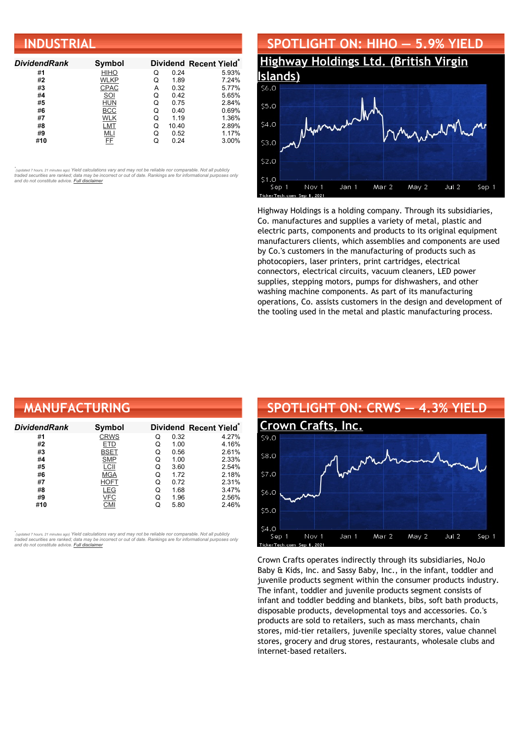| <b>INDUSTRIAL</b>   |             |   |       |                        |  |  |
|---------------------|-------------|---|-------|------------------------|--|--|
| <b>DividendRank</b> | Symbol      |   |       | Dividend Recent Yield* |  |  |
| #1                  | <b>HIHO</b> | Q | 0.24  | 5.93%                  |  |  |
| #2                  | WLKP        | Q | 1.89  | 7.24%                  |  |  |
| #3                  | <b>CPAC</b> | A | 0.32  | 5.77%                  |  |  |
| #4                  | SOI         | Q | 0.42  | 5.65%                  |  |  |
| #5                  | <b>HUN</b>  | Q | 0.75  | 2.84%                  |  |  |
| #6                  | <b>BCC</b>  | Q | 0.40  | 0.69%                  |  |  |
| #7                  | WLK         | Q | 1.19  | 1.36%                  |  |  |
| #8                  | LMT         | Q | 10.40 | 2.89%                  |  |  |
| #9                  | MLI         | Q | 0.52  | 1.17%                  |  |  |
| #10                 | FF          | Q | 0.24  | 3.00%                  |  |  |



Highway Holdings is a holding company. Through its subsidiaries, Co. manufactures and supplies a variety of metal, plastic and electric parts, components and products to its original equipment manufacturers clients, which assemblies and components are used by Co.'s customers in the manufacturing of products such as photocopiers, laser printers, print cartridges, electrical connectors, electrical circuits, vacuum cleaners, LED power supplies, stepping motors, pumps for dishwashers, and other washing machine components. As part of its manufacturing operations, Co. assists customers in the design and development of the tooling used in the metal and plastic manufacturing process.

| <b>MANUFACTURING</b> |               |   |      |                        |  |
|----------------------|---------------|---|------|------------------------|--|
| DividendRank         | <b>Symbol</b> |   |      | Dividend Recent Yield* |  |
| #1                   | <b>CRWS</b>   | Q | 0.32 | 4.27%                  |  |
| #2                   | ETD           | Q | 1.00 | 4.16%                  |  |
| #3                   | BSET          | Q | 0.56 | 2.61%                  |  |
| #4                   | <b>SMP</b>    | Q | 1.00 | 2.33%                  |  |
| #5                   | LCII          | Q | 3.60 | 2.54%                  |  |
| #6                   | <b>MGA</b>    | Q | 1.72 | 2.18%                  |  |
| #7                   | <b>HOFT</b>   | Q | 0.72 | 2.31%                  |  |
| #8                   | LEG           | Q | 1.68 | 3.47%                  |  |
| #9                   | <b>VFC</b>    | Q | 1.96 | 2.56%                  |  |
| #10                  | <b>CMI</b>    | Q | 5.80 | 2.46%                  |  |

*\** ated 7 hours, 21 minutes ago) Yield calculations vary and may not be reliable nor comparable. Not all publicly traded securities are ranked; data may be incorrect or out of date. Rankings are for informational purposes only *and do not constitute advice. Full [disclaimer](https://www.dividendchannel.com/disclaimer/)*



Crown Crafts operates indirectly through its subsidiaries, NoJo Baby & Kids, Inc. and Sassy Baby, Inc., in the infant, toddler and juvenile products segment within the consumer products industry. The infant, toddler and juvenile products segment consists of infant and toddler bedding and blankets, bibs, soft bath products, disposable products, developmental toys and accessories. Co.'s products are sold to retailers, such as mass merchants, chain stores, mid-tier retailers, juvenile specialty stores, value channel stores, grocery and drug stores, restaurants, wholesale clubs and internet-based retailers.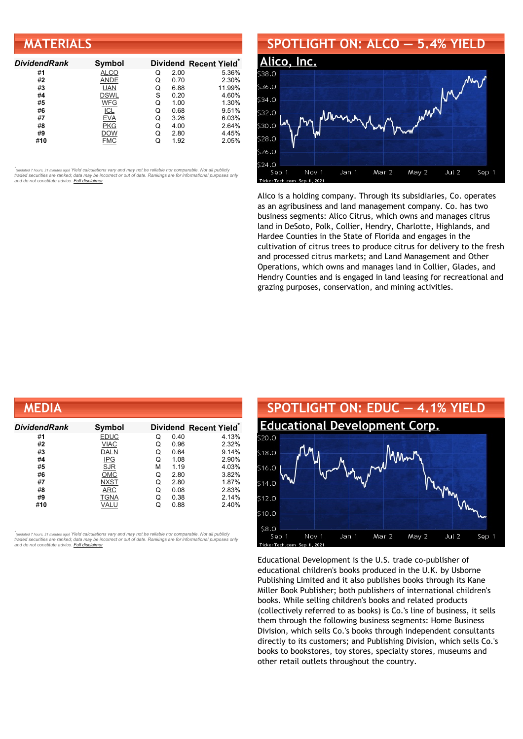| <b>MATERIALS</b>    |               |   |      |                        |  |
|---------------------|---------------|---|------|------------------------|--|
| <b>DividendRank</b> | <b>Symbol</b> |   |      | Dividend Recent Yield* |  |
| #1                  | <b>ALCO</b>   | Q | 2.00 | 5.36%                  |  |
| #2                  | ANDE          | Q | 0.70 | 2.30%                  |  |
| #3                  | <b>UAN</b>    | Q | 6.88 | 11.99%                 |  |
| #4                  | <b>DSWL</b>   | S | 0.20 | 4.60%                  |  |
| #5                  | <b>WFG</b>    | Q | 1.00 | 1.30%                  |  |
| #6                  | <b>ICL</b>    | Q | 0.68 | 9.51%                  |  |
| #7                  | <b>EVA</b>    | Q | 3.26 | 6.03%                  |  |
| #8                  | PKG           | Q | 4.00 | 2.64%                  |  |
| #9                  | <b>DOW</b>    | Q | 2.80 | 4.45%                  |  |
| #10                 | <b>FMC</b>    | Q | 1.92 | 2.05%                  |  |

#### **SPOTLIGHT ON: ALCO — 5.4% YIELD**



Alico is a holding company. Through its subsidiaries, Co. operates as an agribusiness and land management company. Co. has two business segments: Alico Citrus, which owns and manages citrus land in DeSoto, Polk, Collier, Hendry, Charlotte, Highlands, and Hardee Counties in the State of Florida and engages in the cultivation of citrus trees to produce citrus for delivery to the fresh and processed citrus markets; and Land Management and Other Operations, which owns and manages land in Collier, Glades, and Hendry Counties and is engaged in land leasing for recreational and grazing purposes, conservation, and mining activities.

| MEDIA        |             |   |      |                                    |
|--------------|-------------|---|------|------------------------------------|
| DividendRank | Symbol      |   |      | Dividend Recent Yield <sup>®</sup> |
| #1           | <b>EDUC</b> | Q | 0.40 | 4.13%                              |
| #2           | <b>VIAC</b> | Q | 0.96 | 2.32%                              |
| #3           | <b>DALN</b> | Q | 0.64 | 9.14%                              |
| #4           | <b>IPG</b>  | Q | 1.08 | 2.90%                              |
| #5           | <b>SJR</b>  | М | 1.19 | 4.03%                              |
| #6           | <b>OMC</b>  | Q | 2.80 | 3.82%                              |
| #7           | <b>NXST</b> | Q | 2.80 | 1.87%                              |
| #8           | ARC         | Q | 0.08 | 2.83%                              |
| #9           | <b>TGNA</b> | Q | 0.38 | 2.14%                              |
| #10          | VALU        | Q | 0.88 | 2.40%                              |

*\** ated 7 hours, 21 minutes ago) Yield calculations vary and may not be reliable nor comparable. Not all publicly traded securities are ranked; data may be incorrect or out of date. Rankings are for informational purposes only *and do not constitute advice. Full [disclaimer](https://www.dividendchannel.com/disclaimer/)*



Educational Development is the U.S. trade co-publisher of educational children's books produced in the U.K. by Usborne Publishing Limited and it also publishes books through its Kane Miller Book Publisher; both publishers of international children's books. While selling children's books and related products (collectively referred to as books) is Co.'s line of business, it sells them through the following business segments: Home Business Division, which sells Co.'s books through independent consultants directly to its customers; and Publishing Division, which sells Co.'s books to bookstores, toy stores, specialty stores, museums and other retail outlets throughout the country.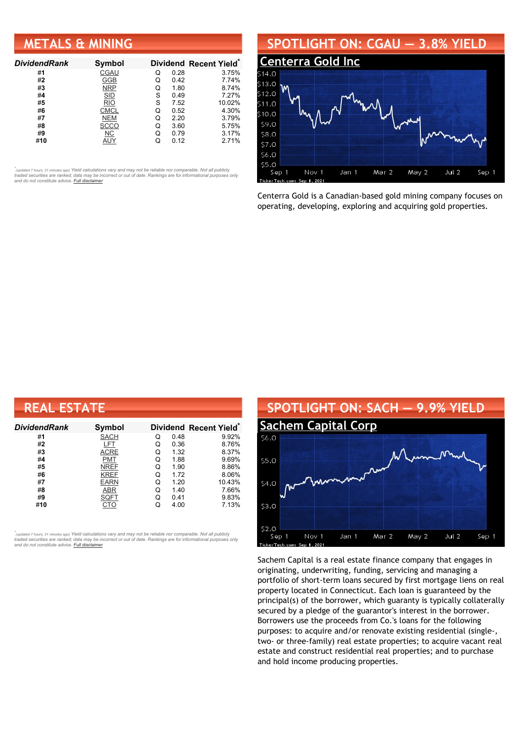## **METALS & MINING**

| <b>DividendRank</b> | Symbol      |   |      | Dividend Recent Yield* |
|---------------------|-------------|---|------|------------------------|
| #1                  | CGAU        | Q | 0.28 | 3.75%                  |
| #2                  | GGB         | Q | 0.42 | 7.74%                  |
| #3                  | <b>NRP</b>  | Q | 1.80 | 8.74%                  |
| #4                  | <b>SID</b>  | S | 0.49 | 7.27%                  |
| #5                  | <b>RIO</b>  | S | 7.52 | 10.02%                 |
| #6                  | <b>CMCL</b> | Q | 0.52 | 4.30%                  |
| #7                  | <b>NEM</b>  | Q | 2.20 | 3.79%                  |
| #8                  | <b>SCCO</b> | Q | 3.60 | 5.75%                  |
| #9                  | ΝC          | Q | 0.79 | 3.17%                  |
| #10                 | AUY         |   | 0.12 | 2.71%                  |

•<br>"<sub>(updated 7 hours, 21 minutes ago) Yield calculations vary and may not be reliable nor comparable. Not all publicly<br>traded securities are ranked; data may be incorrect or out of date. Rankings are for informational purp</sub> *and do not constitute advice. Full [disclaimer](https://www.dividendchannel.com/disclaimer/)*

#### **SPOTLIGHT ON: CGAU — 3.8% YIELD**



Centerra Gold is a Canadian-based gold mining company focuses on operating, developing, exploring and acquiring gold properties.

| <b>REAL ESTATE</b>  |             |   |      |                       |  |  |
|---------------------|-------------|---|------|-----------------------|--|--|
| <b>DividendRank</b> | Symbol      |   |      | Dividend Recent Yield |  |  |
| #1                  | <b>SACH</b> | Q | 0.48 | 9.92%                 |  |  |
| #2                  | LFT         | Q | 0.36 | 8.76%                 |  |  |
| #3                  | ACRE        | Q | 1.32 | 8.37%                 |  |  |
| #4                  | PMT         | Q | 1.88 | 9.69%                 |  |  |
| #5                  | <b>NREF</b> | Q | 1.90 | 8.86%                 |  |  |
| #6                  | <b>KREF</b> | Q | 1.72 | 8.06%                 |  |  |
| #7                  | <b>EARN</b> | Q | 1.20 | 10.43%                |  |  |
| #8                  | ABR         | Q | 1.40 | 7.66%                 |  |  |
| #9                  | SQFT        | Q | 0.41 | 9.83%                 |  |  |
| #10                 |             |   | 4.00 | 7.13%                 |  |  |

,<br>"<sub>(updated 7 hours, 21 minutes ago) Yield calculations vary and may not be reliable nor comparable. Not all publicly<br>traded securities are ranked; data may be incorrect or out of date. Rankings are for informational purp</sub> *and do not constitute advice. Full [disclaimer](https://www.dividendchannel.com/disclaimer/)*



Sachem Capital is a real estate finance company that engages in originating, underwriting, funding, servicing and managing a portfolio of short-term loans secured by first mortgage liens on real property located in Connecticut. Each loan is guaranteed by the principal(s) of the borrower, which guaranty is typically collaterally secured by a pledge of the guarantor's interest in the borrower. Borrowers use the proceeds from Co.'s loans for the following purposes: to acquire and/or renovate existing residential (single-, two- or three-family) real estate properties; to acquire vacant real estate and construct residential real properties; and to purchase and hold income producing properties.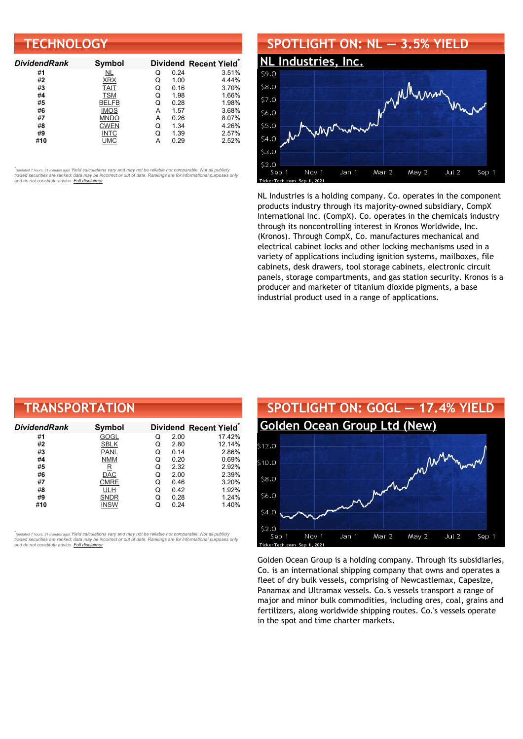| <b>TECHNOLOGY</b>   |               |   |      |                                    |  |  |
|---------------------|---------------|---|------|------------------------------------|--|--|
| <b>DividendRank</b> | <b>Symbol</b> |   |      | Dividend Recent Yield <sup>®</sup> |  |  |
| #1                  | NL            | Q | 0.24 | 3.51%                              |  |  |
| #2                  | <b>XRX</b>    | Q | 1.00 | 4.44%                              |  |  |
| #3                  | <b>TAIT</b>   | Q | 0.16 | 3.70%                              |  |  |
| #4                  | <b>TSM</b>    | Q | 1.98 | 1.66%                              |  |  |
| #5                  | <b>BELFB</b>  | Q | 0.28 | 1.98%                              |  |  |
| #6                  | <b>IMOS</b>   | А | 1.57 | 3.68%                              |  |  |
| #7                  | <b>MNDO</b>   | A | 0.26 | 8.07%                              |  |  |
| #8                  | <b>CWEN</b>   | Q | 1.34 | 4.26%                              |  |  |
| #9                  | <b>INTC</b>   | Q | 1.39 | 2.57%                              |  |  |
| #10                 | <b>UMC</b>    | А | 0.29 | 2.52%                              |  |  |

# **SPOTLIGHT ON: NL — 3.5% YIELD**



NL Industries is a holding company. Co. operates in the component products industry through its majority-owned subsidiary, CompX International Inc. (CompX). Co. operates in the chemicals industry through its noncontrolling interest in Kronos Worldwide, Inc. (Kronos). Through CompX, Co. manufactures mechanical and electrical cabinet locks and other locking mechanisms used in a variety of applications including ignition systems, mailboxes, file cabinets, desk drawers, tool storage cabinets, electronic circuit panels, storage compartments, and gas station security. Kronos is a producer and marketer of titanium dioxide pigments, a base industrial product used in a range of applications.

| <b>TRANSPORTATION</b> |             |   |      |                        |  |  |
|-----------------------|-------------|---|------|------------------------|--|--|
| Dividend Rank         | Symbol      |   |      | Dividend Recent Yield* |  |  |
| #1                    | GOGL        | Q | 2.00 | 17.42%                 |  |  |
| #2                    | <b>SBLK</b> | Q | 2.80 | 12.14%                 |  |  |
| #3                    | <b>PANL</b> | Q | 0.14 | 2.86%                  |  |  |
| #4                    | <b>NMM</b>  | Q | 0.20 | 0.69%                  |  |  |
| #5                    | $\mathbf R$ | Q | 2.32 | 2.92%                  |  |  |
| #6                    | DAC         | Q | 2.00 | 2.39%                  |  |  |
| #7                    | <b>CMRE</b> | Q | 0.46 | 3.20%                  |  |  |
| #8                    | ULH         | Q | 0.42 | 1.92%                  |  |  |
| #9                    | <b>SNDR</b> | Q | 0.28 | 1.24%                  |  |  |
| #10                   | INSW        | Q | 0.24 | 1.40%                  |  |  |

*\** ated 7 hours, 21 minutes ago) Yield calculations vary and may not be reliable nor comparable. Not all publicly traded securities are ranked; data may be incorrect or out of date. Rankings are for informational purposes only *and do not constitute advice. Full [disclaimer](https://www.dividendchannel.com/disclaimer/)*



Golden Ocean Group is a holding company. Through its subsidiaries, Co. is an international shipping company that owns and operates a fleet of dry bulk vessels, comprising of Newcastlemax, Capesize, Panamax and Ultramax vessels. Co.'s vessels transport a range of major and minor bulk commodities, including ores, coal, grains and fertilizers, along worldwide shipping routes. Co.'s vessels operate in the spot and time charter markets.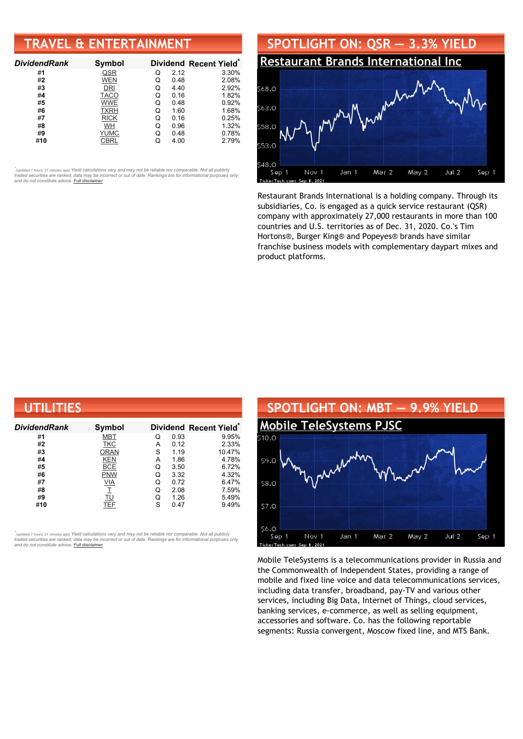# **TRAVEL & ENTERTAINMENT**

| <b>DividendRank</b> | Symbol      |   |      | Dividend Recent Yield* |
|---------------------|-------------|---|------|------------------------|
| #1                  | QSR         | Q | 2.12 | 3.30%                  |
| #2                  | <b>WEN</b>  | Q | 0.48 | 2.08%                  |
| #3                  | DRI         | Q | 4.40 | 2.92%                  |
| #4                  | <b>TACO</b> | Q | 0.16 | 1.82%                  |
| #5                  | <b>WWE</b>  | Q | 0.48 | 0.92%                  |
| #6                  | <b>TXRH</b> | Q | 1.60 | 1.68%                  |
| #7                  | <b>RICK</b> | Q | 0.16 | 0.25%                  |
| #8                  | WH          | Q | 0.96 | 1.32%                  |
| #9                  | <b>YUMC</b> | Q | 0.48 | 0.78%                  |
| #10                 | CBRL        |   | 4.00 | 2.79%                  |

•<br>"<sub>(updated 7 hours, 21 minutes ago) Yield calculations vary and may not be reliable nor comparable. Not all publicly<br>traded securities are ranked; data may be incorrect or out of date. Rankings are for informational purp</sub> *and do not constitute advice. Full [disclaimer](https://www.dividendchannel.com/disclaimer/)*



Restaurant Brands International is a holding company. Through its subsidiaries, Co. is engaged as a quick service restaurant (QSR) company with approximately 27,000 restaurants in more than 100 countries and U.S. territories as of Dec. 31, 2020. Co.'s Tim Hortons®, Burger King® and Popeyes® brands have similar franchise business models with complementary daypart mixes and product platforms.

| UTILITIES           |             |   |      |                                    |  |  |
|---------------------|-------------|---|------|------------------------------------|--|--|
| <b>DividendRank</b> | Symbol      |   |      | Dividend Recent Yield <sup>®</sup> |  |  |
| #1                  | <b>MBT</b>  | Q | 0.93 | 9.95%                              |  |  |
| #2                  | <b>TKC</b>  | A | 0.12 | 2.33%                              |  |  |
| #3                  | <b>ORAN</b> | S | 1.19 | 10.47%                             |  |  |
| #4                  | <b>KEN</b>  | A | 1.86 | 4.78%                              |  |  |
| #5                  | <b>BCE</b>  | Q | 3.50 | 6.72%                              |  |  |
| #6                  | <b>PNW</b>  | Q | 3.32 | 4.32%                              |  |  |
| #7                  | VIA         | Q | 0.72 | 6.47%                              |  |  |
| #8                  |             | Q | 2.08 | 7.59%                              |  |  |
| #9                  | TU          | Q | 1.26 | 5.49%                              |  |  |
| #10                 | TEF         | S | 0.47 | 9.49%                              |  |  |

*\** ated 7 hours, 21 minutes ago) Yield calculations vary and may not be reliable nor comparable. Not all publicly traded securities are ranked; data may be incorrect or out of date. Rankings are for informational purposes only *and do not constitute advice. Full [disclaimer](https://www.dividendchannel.com/disclaimer/)*



Mobile TeleSystems is a telecommunications provider in Russia and the Commonwealth of Independent States, providing a range of mobile and fixed line voice and data telecommunications services, including data transfer, broadband, pay-TV and various other services, including Big Data, Internet of Things, cloud services, banking services, e-commerce, as well as selling equipment, accessories and software. Co. has the following reportable segments: Russia convergent, Moscow fixed line, and MTS Bank.